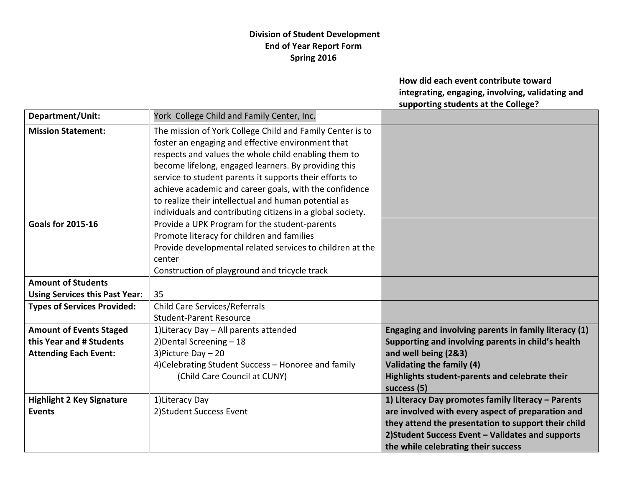## **Division of Student Development End of Year Report Form Spring 2016**

**How did each event contribute toward integrating, engaging, involving, validating and supporting students at the College?**

| Department/Unit:                      | York College Child and Family Center, Inc.                 |                                                       |
|---------------------------------------|------------------------------------------------------------|-------------------------------------------------------|
| <b>Mission Statement:</b>             | The mission of York College Child and Family Center is to  |                                                       |
|                                       | foster an engaging and effective environment that          |                                                       |
|                                       | respects and values the whole child enabling them to       |                                                       |
|                                       | become lifelong, engaged learners. By providing this       |                                                       |
|                                       | service to student parents it supports their efforts to    |                                                       |
|                                       | achieve academic and career goals, with the confidence     |                                                       |
|                                       | to realize their intellectual and human potential as       |                                                       |
|                                       | individuals and contributing citizens in a global society. |                                                       |
| <b>Goals for 2015-16</b>              | Provide a UPK Program for the student-parents              |                                                       |
|                                       | Promote literacy for children and families                 |                                                       |
|                                       | Provide developmental related services to children at the  |                                                       |
|                                       | center                                                     |                                                       |
|                                       | Construction of playground and tricycle track              |                                                       |
| <b>Amount of Students</b>             |                                                            |                                                       |
| <b>Using Services this Past Year:</b> | 35                                                         |                                                       |
| <b>Types of Services Provided:</b>    | <b>Child Care Services/Referrals</b>                       |                                                       |
|                                       | <b>Student-Parent Resource</b>                             |                                                       |
| <b>Amount of Events Staged</b>        | 1) Literacy Day - All parents attended                     | Engaging and involving parents in family literacy (1) |
| this Year and # Students              | 2) Dental Screening - 18                                   | Supporting and involving parents in child's health    |
| <b>Attending Each Event:</b>          | 3) Picture Day - 20                                        | and well being (2&3)                                  |
|                                       | 4) Celebrating Student Success - Honoree and family        | Validating the family (4)                             |
|                                       | (Child Care Council at CUNY)                               | Highlights student-parents and celebrate their        |
|                                       |                                                            | success (5)                                           |
| <b>Highlight 2 Key Signature</b>      | 1) Literacy Day                                            | 1) Literacy Day promotes family literacy - Parents    |
| <b>Events</b>                         | 2) Student Success Event                                   | are involved with every aspect of preparation and     |
|                                       |                                                            | they attend the presentation to support their child   |
|                                       |                                                            | 2) Student Success Event - Validates and supports     |
|                                       |                                                            | the while celebrating their success                   |